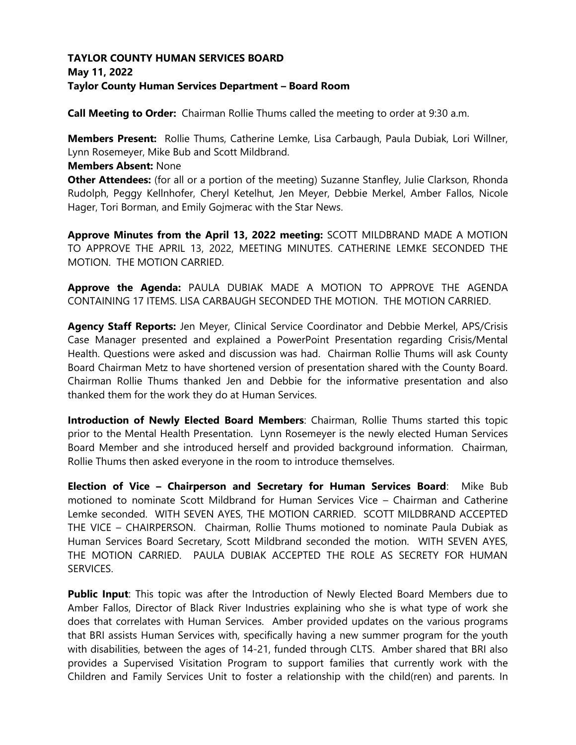## **TAYLOR COUNTY HUMAN SERVICES BOARD May 11, 2022 Taylor County Human Services Department – Board Room**

**Call Meeting to Order:** Chairman Rollie Thums called the meeting to order at 9:30 a.m.

**Members Present:** Rollie Thums, Catherine Lemke, Lisa Carbaugh, Paula Dubiak, Lori Willner, Lynn Rosemeyer, Mike Bub and Scott Mildbrand.

### **Members Absent:** None

**Other Attendees:** (for all or a portion of the meeting) Suzanne Stanfley, Julie Clarkson, Rhonda Rudolph, Peggy Kellnhofer, Cheryl Ketelhut, Jen Meyer, Debbie Merkel, Amber Fallos, Nicole Hager, Tori Borman, and Emily Gojmerac with the Star News.

**Approve Minutes from the April 13, 2022 meeting:** SCOTT MILDBRAND MADE A MOTION TO APPROVE THE APRIL 13, 2022, MEETING MINUTES. CATHERINE LEMKE SECONDED THE MOTION. THE MOTION CARRIED.

**Approve the Agenda:** PAULA DUBIAK MADE A MOTION TO APPROVE THE AGENDA CONTAINING 17 ITEMS. LISA CARBAUGH SECONDED THE MOTION. THE MOTION CARRIED.

**Agency Staff Reports:** Jen Meyer, Clinical Service Coordinator and Debbie Merkel, APS/Crisis Case Manager presented and explained a PowerPoint Presentation regarding Crisis/Mental Health. Questions were asked and discussion was had. Chairman Rollie Thums will ask County Board Chairman Metz to have shortened version of presentation shared with the County Board. Chairman Rollie Thums thanked Jen and Debbie for the informative presentation and also thanked them for the work they do at Human Services.

**Introduction of Newly Elected Board Members**: Chairman, Rollie Thums started this topic prior to the Mental Health Presentation. Lynn Rosemeyer is the newly elected Human Services Board Member and she introduced herself and provided background information. Chairman, Rollie Thums then asked everyone in the room to introduce themselves.

**Election of Vice – Chairperson and Secretary for Human Services Board**: Mike Bub motioned to nominate Scott Mildbrand for Human Services Vice – Chairman and Catherine Lemke seconded. WITH SEVEN AYES, THE MOTION CARRIED. SCOTT MILDBRAND ACCEPTED THE VICE – CHAIRPERSON. Chairman, Rollie Thums motioned to nominate Paula Dubiak as Human Services Board Secretary, Scott Mildbrand seconded the motion. WITH SEVEN AYES, THE MOTION CARRIED. PAULA DUBIAK ACCEPTED THE ROLE AS SECRETY FOR HUMAN SERVICES.

**Public Input**: This topic was after the Introduction of Newly Elected Board Members due to Amber Fallos, Director of Black River Industries explaining who she is what type of work she does that correlates with Human Services. Amber provided updates on the various programs that BRI assists Human Services with, specifically having a new summer program for the youth with disabilities, between the ages of 14-21, funded through CLTS. Amber shared that BRI also provides a Supervised Visitation Program to support families that currently work with the Children and Family Services Unit to foster a relationship with the child(ren) and parents. In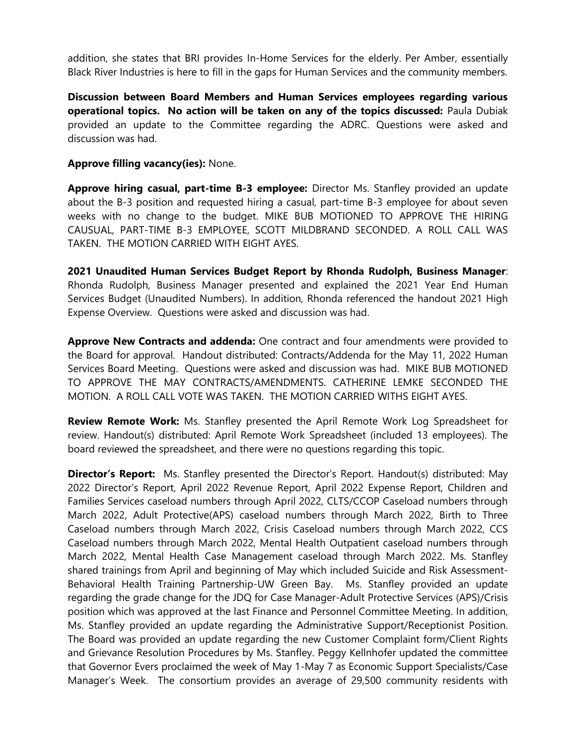addition, she states that BRI provides In-Home Services for the elderly. Per Amber, essentially Black River Industries is here to fill in the gaps for Human Services and the community members.

**Discussion between Board Members and Human Services employees regarding various operational topics. No action will be taken on any of the topics discussed:** Paula Dubiak provided an update to the Committee regarding the ADRC. Questions were asked and discussion was had.

#### **Approve filling vacancy(ies):** None.

**Approve hiring casual, part-time B-3 employee:** Director Ms. Stanfley provided an update about the B-3 position and requested hiring a casual, part-time B-3 employee for about seven weeks with no change to the budget. MIKE BUB MOTIONED TO APPROVE THE HIRING CAUSUAL, PART-TIME B-3 EMPLOYEE, SCOTT MILDBRAND SECONDED. A ROLL CALL WAS TAKEN. THE MOTION CARRIED WITH EIGHT AYES.

**2021 Unaudited Human Services Budget Report by Rhonda Rudolph, Business Manager**: Rhonda Rudolph, Business Manager presented and explained the 2021 Year End Human Services Budget (Unaudited Numbers). In addition, Rhonda referenced the handout 2021 High Expense Overview. Questions were asked and discussion was had.

**Approve New Contracts and addenda:** One contract and four amendments were provided to the Board for approval. Handout distributed: Contracts/Addenda for the May 11, 2022 Human Services Board Meeting. Questions were asked and discussion was had. MIKE BUB MOTIONED TO APPROVE THE MAY CONTRACTS/AMENDMENTS. CATHERINE LEMKE SECONDED THE MOTION. A ROLL CALL VOTE WAS TAKEN. THE MOTION CARRIED WITHS EIGHT AYES.

**Review Remote Work:** Ms. Stanfley presented the April Remote Work Log Spreadsheet for review. Handout(s) distributed: April Remote Work Spreadsheet (included 13 employees). The board reviewed the spreadsheet, and there were no questions regarding this topic.

**Director's Report:** Ms. Stanfley presented the Director's Report. Handout(s) distributed: May 2022 Director's Report, April 2022 Revenue Report, April 2022 Expense Report, Children and Families Services caseload numbers through April 2022, CLTS/CCOP Caseload numbers through March 2022, Adult Protective(APS) caseload numbers through March 2022, Birth to Three Caseload numbers through March 2022, Crisis Caseload numbers through March 2022, CCS Caseload numbers through March 2022, Mental Health Outpatient caseload numbers through March 2022, Mental Health Case Management caseload through March 2022. Ms. Stanfley shared trainings from April and beginning of May which included Suicide and Risk Assessment-Behavioral Health Training Partnership-UW Green Bay. Ms. Stanfley provided an update regarding the grade change for the JDQ for Case Manager-Adult Protective Services (APS)/Crisis position which was approved at the last Finance and Personnel Committee Meeting. In addition, Ms. Stanfley provided an update regarding the Administrative Support/Receptionist Position. The Board was provided an update regarding the new Customer Complaint form/Client Rights and Grievance Resolution Procedures by Ms. Stanfley. Peggy Kellnhofer updated the committee that Governor Evers proclaimed the week of May 1-May 7 as Economic Support Specialists/Case Manager's Week. The consortium provides an average of 29,500 community residents with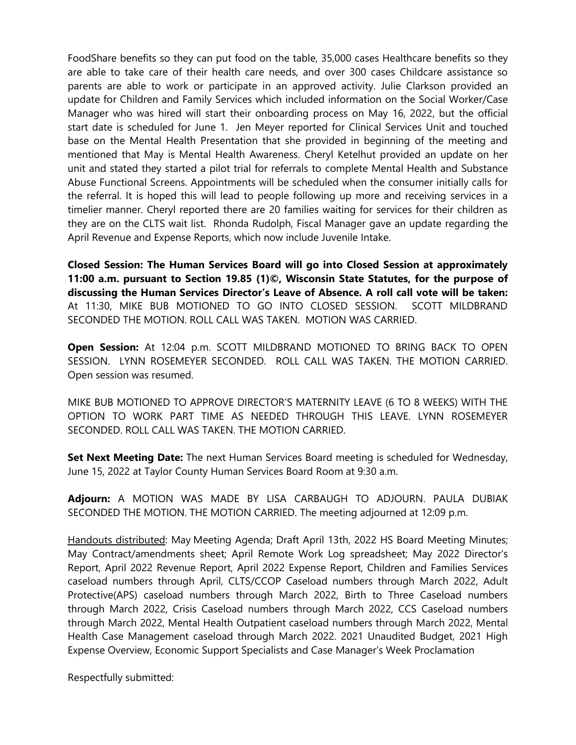FoodShare benefits so they can put food on the table, 35,000 cases Healthcare benefits so they are able to take care of their health care needs, and over 300 cases Childcare assistance so parents are able to work or participate in an approved activity. Julie Clarkson provided an update for Children and Family Services which included information on the Social Worker/Case Manager who was hired will start their onboarding process on May 16, 2022, but the official start date is scheduled for June 1. Jen Meyer reported for Clinical Services Unit and touched base on the Mental Health Presentation that she provided in beginning of the meeting and mentioned that May is Mental Health Awareness. Cheryl Ketelhut provided an update on her unit and stated they started a pilot trial for referrals to complete Mental Health and Substance Abuse Functional Screens. Appointments will be scheduled when the consumer initially calls for the referral. It is hoped this will lead to people following up more and receiving services in a timelier manner. Cheryl reported there are 20 families waiting for services for their children as they are on the CLTS wait list. Rhonda Rudolph, Fiscal Manager gave an update regarding the April Revenue and Expense Reports, which now include Juvenile Intake.

**Closed Session: The Human Services Board will go into Closed Session at approximately 11:00 a.m. pursuant to Section 19.85 (1)©, Wisconsin State Statutes, for the purpose of discussing the Human Services Director's Leave of Absence. A roll call vote will be taken:** At 11:30, MIKE BUB MOTIONED TO GO INTO CLOSED SESSION. SCOTT MILDBRAND SECONDED THE MOTION. ROLL CALL WAS TAKEN. MOTION WAS CARRIED.

**Open Session:** At 12:04 p.m. SCOTT MILDBRAND MOTIONED TO BRING BACK TO OPEN SESSION. LYNN ROSEMEYER SECONDED. ROLL CALL WAS TAKEN. THE MOTION CARRIED. Open session was resumed.

MIKE BUB MOTIONED TO APPROVE DIRECTOR'S MATERNITY LEAVE (6 TO 8 WEEKS) WITH THE OPTION TO WORK PART TIME AS NEEDED THROUGH THIS LEAVE. LYNN ROSEMEYER SECONDED. ROLL CALL WAS TAKEN. THE MOTION CARRIED.

**Set Next Meeting Date:** The next Human Services Board meeting is scheduled for Wednesday, June 15, 2022 at Taylor County Human Services Board Room at 9:30 a.m.

**Adjourn:** A MOTION WAS MADE BY LISA CARBAUGH TO ADJOURN. PAULA DUBIAK SECONDED THE MOTION. THE MOTION CARRIED. The meeting adjourned at 12:09 p.m.

Handouts distributed: May Meeting Agenda; Draft April 13th, 2022 HS Board Meeting Minutes; May Contract/amendments sheet; April Remote Work Log spreadsheet; May 2022 Director's Report, April 2022 Revenue Report, April 2022 Expense Report, Children and Families Services caseload numbers through April, CLTS/CCOP Caseload numbers through March 2022, Adult Protective(APS) caseload numbers through March 2022, Birth to Three Caseload numbers through March 2022, Crisis Caseload numbers through March 2022, CCS Caseload numbers through March 2022, Mental Health Outpatient caseload numbers through March 2022, Mental Health Case Management caseload through March 2022. 2021 Unaudited Budget, 2021 High Expense Overview, Economic Support Specialists and Case Manager's Week Proclamation

Respectfully submitted: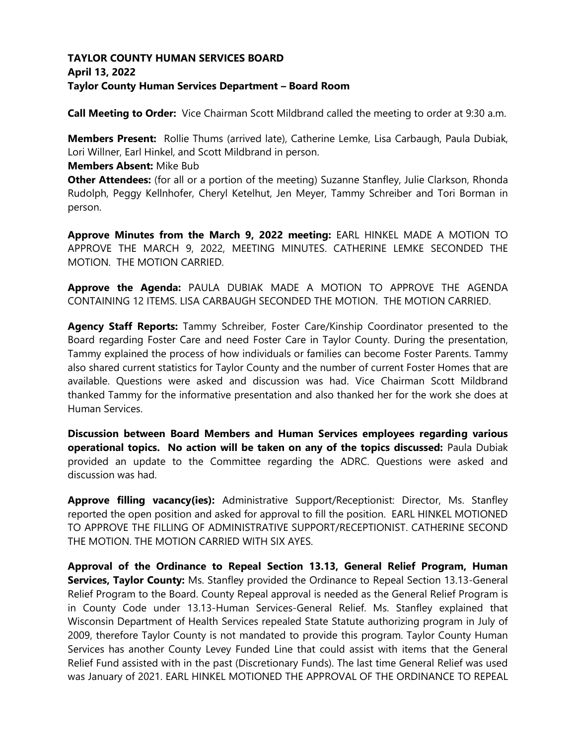# **TAYLOR COUNTY HUMAN SERVICES BOARD April 13, 2022 Taylor County Human Services Department – Board Room**

**Call Meeting to Order:** Vice Chairman Scott Mildbrand called the meeting to order at 9:30 a.m.

**Members Present:** Rollie Thums (arrived late), Catherine Lemke, Lisa Carbaugh, Paula Dubiak, Lori Willner, Earl Hinkel, and Scott Mildbrand in person.

#### **Members Absent:** Mike Bub

**Other Attendees:** (for all or a portion of the meeting) Suzanne Stanfley, Julie Clarkson, Rhonda Rudolph, Peggy Kellnhofer, Cheryl Ketelhut, Jen Meyer, Tammy Schreiber and Tori Borman in person.

**Approve Minutes from the March 9, 2022 meeting:** EARL HINKEL MADE A MOTION TO APPROVE THE MARCH 9, 2022, MEETING MINUTES. CATHERINE LEMKE SECONDED THE MOTION. THE MOTION CARRIED.

**Approve the Agenda:** PAULA DUBIAK MADE A MOTION TO APPROVE THE AGENDA CONTAINING 12 ITEMS. LISA CARBAUGH SECONDED THE MOTION. THE MOTION CARRIED.

**Agency Staff Reports:** Tammy Schreiber, Foster Care/Kinship Coordinator presented to the Board regarding Foster Care and need Foster Care in Taylor County. During the presentation, Tammy explained the process of how individuals or families can become Foster Parents. Tammy also shared current statistics for Taylor County and the number of current Foster Homes that are available. Questions were asked and discussion was had. Vice Chairman Scott Mildbrand thanked Tammy for the informative presentation and also thanked her for the work she does at Human Services.

**Discussion between Board Members and Human Services employees regarding various operational topics. No action will be taken on any of the topics discussed:** Paula Dubiak provided an update to the Committee regarding the ADRC. Questions were asked and discussion was had.

**Approve filling vacancy(ies):** Administrative Support/Receptionist: Director, Ms. Stanfley reported the open position and asked for approval to fill the position. EARL HINKEL MOTIONED TO APPROVE THE FILLING OF ADMINISTRATIVE SUPPORT/RECEPTIONIST. CATHERINE SECOND THE MOTION. THE MOTION CARRIED WITH SIX AYES.

**Approval of the Ordinance to Repeal Section 13.13, General Relief Program, Human Services, Taylor County:** Ms. Stanfley provided the Ordinance to Repeal Section 13.13-General Relief Program to the Board. County Repeal approval is needed as the General Relief Program is in County Code under 13.13-Human Services-General Relief. Ms. Stanfley explained that Wisconsin Department of Health Services repealed State Statute authorizing program in July of 2009, therefore Taylor County is not mandated to provide this program. Taylor County Human Services has another County Levey Funded Line that could assist with items that the General Relief Fund assisted with in the past (Discretionary Funds). The last time General Relief was used was January of 2021. EARL HINKEL MOTIONED THE APPROVAL OF THE ORDINANCE TO REPEAL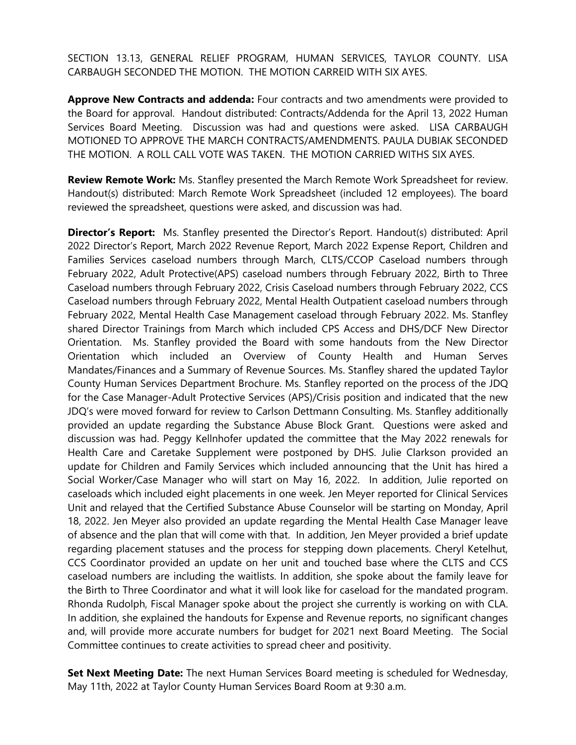SECTION 13.13, GENERAL RELIEF PROGRAM, HUMAN SERVICES, TAYLOR COUNTY. LISA CARBAUGH SECONDED THE MOTION. THE MOTION CARREID WITH SIX AYES.

**Approve New Contracts and addenda:** Four contracts and two amendments were provided to the Board for approval. Handout distributed: Contracts/Addenda for the April 13, 2022 Human Services Board Meeting. Discussion was had and questions were asked. LISA CARBAUGH MOTIONED TO APPROVE THE MARCH CONTRACTS/AMENDMENTS. PAULA DUBIAK SECONDED THE MOTION. A ROLL CALL VOTE WAS TAKEN. THE MOTION CARRIED WITHS SIX AYES.

**Review Remote Work:** Ms. Stanfley presented the March Remote Work Spreadsheet for review. Handout(s) distributed: March Remote Work Spreadsheet (included 12 employees). The board reviewed the spreadsheet, questions were asked, and discussion was had.

**Director's Report:** Ms. Stanfley presented the Director's Report. Handout(s) distributed: April 2022 Director's Report, March 2022 Revenue Report, March 2022 Expense Report, Children and Families Services caseload numbers through March, CLTS/CCOP Caseload numbers through February 2022, Adult Protective(APS) caseload numbers through February 2022, Birth to Three Caseload numbers through February 2022, Crisis Caseload numbers through February 2022, CCS Caseload numbers through February 2022, Mental Health Outpatient caseload numbers through February 2022, Mental Health Case Management caseload through February 2022. Ms. Stanfley shared Director Trainings from March which included CPS Access and DHS/DCF New Director Orientation. Ms. Stanfley provided the Board with some handouts from the New Director Orientation which included an Overview of County Health and Human Serves Mandates/Finances and a Summary of Revenue Sources. Ms. Stanfley shared the updated Taylor County Human Services Department Brochure. Ms. Stanfley reported on the process of the JDQ for the Case Manager-Adult Protective Services (APS)/Crisis position and indicated that the new JDQ's were moved forward for review to Carlson Dettmann Consulting. Ms. Stanfley additionally provided an update regarding the Substance Abuse Block Grant. Questions were asked and discussion was had. Peggy Kellnhofer updated the committee that the May 2022 renewals for Health Care and Caretake Supplement were postponed by DHS. Julie Clarkson provided an update for Children and Family Services which included announcing that the Unit has hired a Social Worker/Case Manager who will start on May 16, 2022. In addition, Julie reported on caseloads which included eight placements in one week. Jen Meyer reported for Clinical Services Unit and relayed that the Certified Substance Abuse Counselor will be starting on Monday, April 18, 2022. Jen Meyer also provided an update regarding the Mental Health Case Manager leave of absence and the plan that will come with that. In addition, Jen Meyer provided a brief update regarding placement statuses and the process for stepping down placements. Cheryl Ketelhut, CCS Coordinator provided an update on her unit and touched base where the CLTS and CCS caseload numbers are including the waitlists. In addition, she spoke about the family leave for the Birth to Three Coordinator and what it will look like for caseload for the mandated program. Rhonda Rudolph, Fiscal Manager spoke about the project she currently is working on with CLA. In addition, she explained the handouts for Expense and Revenue reports, no significant changes and, will provide more accurate numbers for budget for 2021 next Board Meeting. The Social Committee continues to create activities to spread cheer and positivity.

**Set Next Meeting Date:** The next Human Services Board meeting is scheduled for Wednesday, May 11th, 2022 at Taylor County Human Services Board Room at 9:30 a.m.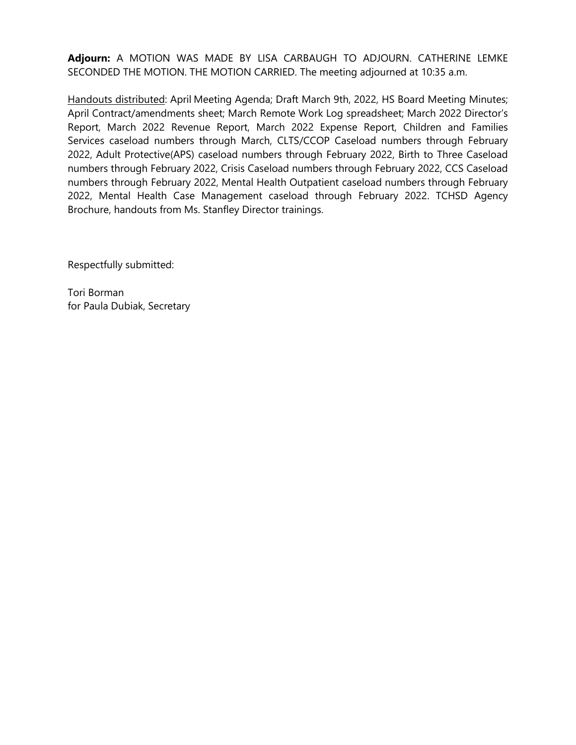**Adjourn:** A MOTION WAS MADE BY LISA CARBAUGH TO ADJOURN. CATHERINE LEMKE SECONDED THE MOTION. THE MOTION CARRIED. The meeting adjourned at 10:35 a.m.

Handouts distributed: April Meeting Agenda; Draft March 9th, 2022, HS Board Meeting Minutes; April Contract/amendments sheet; March Remote Work Log spreadsheet; March 2022 Director's Report, March 2022 Revenue Report, March 2022 Expense Report, Children and Families Services caseload numbers through March, CLTS/CCOP Caseload numbers through February 2022, Adult Protective(APS) caseload numbers through February 2022, Birth to Three Caseload numbers through February 2022, Crisis Caseload numbers through February 2022, CCS Caseload numbers through February 2022, Mental Health Outpatient caseload numbers through February 2022, Mental Health Case Management caseload through February 2022. TCHSD Agency Brochure, handouts from Ms. Stanfley Director trainings.

Respectfully submitted: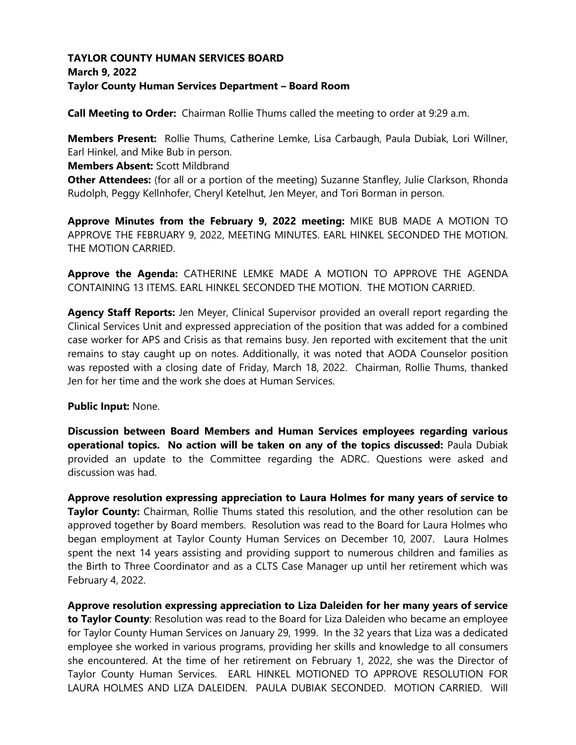# **TAYLOR COUNTY HUMAN SERVICES BOARD March 9, 2022 Taylor County Human Services Department – Board Room**

**Call Meeting to Order:** Chairman Rollie Thums called the meeting to order at 9:29 a.m.

**Members Present:** Rollie Thums, Catherine Lemke, Lisa Carbaugh, Paula Dubiak, Lori Willner, Earl Hinkel, and Mike Bub in person.

**Members Absent:** Scott Mildbrand

**Other Attendees:** (for all or a portion of the meeting) Suzanne Stanfley, Julie Clarkson, Rhonda Rudolph, Peggy Kellnhofer, Cheryl Ketelhut, Jen Meyer, and Tori Borman in person.

**Approve Minutes from the February 9, 2022 meeting:** MIKE BUB MADE A MOTION TO APPROVE THE FEBRUARY 9, 2022, MEETING MINUTES. EARL HINKEL SECONDED THE MOTION. THE MOTION CARRIED.

**Approve the Agenda:** CATHERINE LEMKE MADE A MOTION TO APPROVE THE AGENDA CONTAINING 13 ITEMS. EARL HINKEL SECONDED THE MOTION. THE MOTION CARRIED.

**Agency Staff Reports:** Jen Meyer, Clinical Supervisor provided an overall report regarding the Clinical Services Unit and expressed appreciation of the position that was added for a combined case worker for APS and Crisis as that remains busy. Jen reported with excitement that the unit remains to stay caught up on notes. Additionally, it was noted that AODA Counselor position was reposted with a closing date of Friday, March 18, 2022. Chairman, Rollie Thums, thanked Jen for her time and the work she does at Human Services.

**Public Input:** None.

**Discussion between Board Members and Human Services employees regarding various operational topics. No action will be taken on any of the topics discussed:** Paula Dubiak provided an update to the Committee regarding the ADRC. Questions were asked and discussion was had.

**Approve resolution expressing appreciation to Laura Holmes for many years of service to Taylor County:** Chairman, Rollie Thums stated this resolution, and the other resolution can be approved together by Board members. Resolution was read to the Board for Laura Holmes who began employment at Taylor County Human Services on December 10, 2007. Laura Holmes spent the next 14 years assisting and providing support to numerous children and families as the Birth to Three Coordinator and as a CLTS Case Manager up until her retirement which was February 4, 2022.

**Approve resolution expressing appreciation to Liza Daleiden for her many years of service to Taylor County**: Resolution was read to the Board for Liza Daleiden who became an employee for Taylor County Human Services on January 29, 1999. In the 32 years that Liza was a dedicated employee she worked in various programs, providing her skills and knowledge to all consumers she encountered. At the time of her retirement on February 1, 2022, she was the Director of Taylor County Human Services. EARL HINKEL MOTIONED TO APPROVE RESOLUTION FOR LAURA HOLMES AND LIZA DALEIDEN. PAULA DUBIAK SECONDED. MOTION CARRIED. Will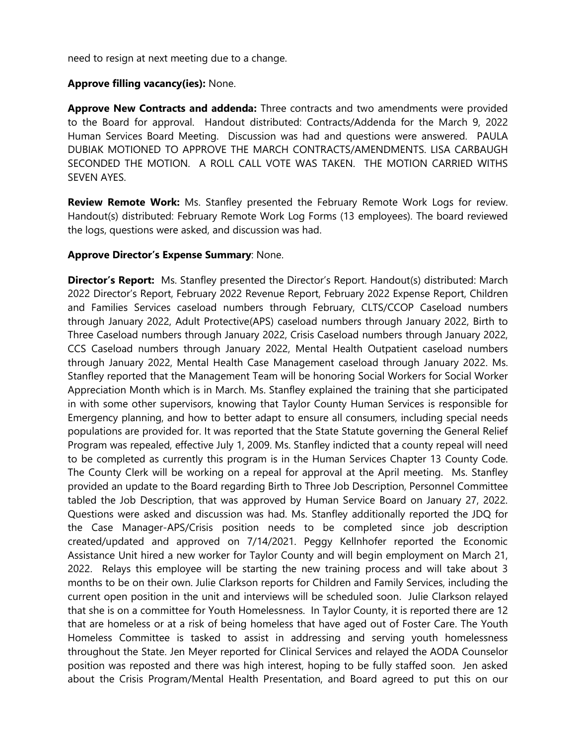need to resign at next meeting due to a change.

### **Approve filling vacancy(ies):** None.

**Approve New Contracts and addenda:** Three contracts and two amendments were provided to the Board for approval. Handout distributed: Contracts/Addenda for the March 9, 2022 Human Services Board Meeting. Discussion was had and questions were answered. PAULA DUBIAK MOTIONED TO APPROVE THE MARCH CONTRACTS/AMENDMENTS. LISA CARBAUGH SECONDED THE MOTION. A ROLL CALL VOTE WAS TAKEN. THE MOTION CARRIED WITHS SEVEN AYES.

**Review Remote Work:** Ms. Stanfley presented the February Remote Work Logs for review. Handout(s) distributed: February Remote Work Log Forms (13 employees). The board reviewed the logs, questions were asked, and discussion was had.

### **Approve Director's Expense Summary**: None.

**Director's Report:** Ms. Stanfley presented the Director's Report. Handout(s) distributed: March 2022 Director's Report, February 2022 Revenue Report, February 2022 Expense Report, Children and Families Services caseload numbers through February, CLTS/CCOP Caseload numbers through January 2022, Adult Protective(APS) caseload numbers through January 2022, Birth to Three Caseload numbers through January 2022, Crisis Caseload numbers through January 2022, CCS Caseload numbers through January 2022, Mental Health Outpatient caseload numbers through January 2022, Mental Health Case Management caseload through January 2022. Ms. Stanfley reported that the Management Team will be honoring Social Workers for Social Worker Appreciation Month which is in March. Ms. Stanfley explained the training that she participated in with some other supervisors, knowing that Taylor County Human Services is responsible for Emergency planning, and how to better adapt to ensure all consumers, including special needs populations are provided for. It was reported that the State Statute governing the General Relief Program was repealed, effective July 1, 2009. Ms. Stanfley indicted that a county repeal will need to be completed as currently this program is in the Human Services Chapter 13 County Code. The County Clerk will be working on a repeal for approval at the April meeting. Ms. Stanfley provided an update to the Board regarding Birth to Three Job Description, Personnel Committee tabled the Job Description, that was approved by Human Service Board on January 27, 2022. Questions were asked and discussion was had. Ms. Stanfley additionally reported the JDQ for the Case Manager-APS/Crisis position needs to be completed since job description created/updated and approved on 7/14/2021. Peggy Kellnhofer reported the Economic Assistance Unit hired a new worker for Taylor County and will begin employment on March 21, 2022. Relays this employee will be starting the new training process and will take about 3 months to be on their own. Julie Clarkson reports for Children and Family Services, including the current open position in the unit and interviews will be scheduled soon. Julie Clarkson relayed that she is on a committee for Youth Homelessness. In Taylor County, it is reported there are 12 that are homeless or at a risk of being homeless that have aged out of Foster Care. The Youth Homeless Committee is tasked to assist in addressing and serving youth homelessness throughout the State. Jen Meyer reported for Clinical Services and relayed the AODA Counselor position was reposted and there was high interest, hoping to be fully staffed soon. Jen asked about the Crisis Program/Mental Health Presentation, and Board agreed to put this on our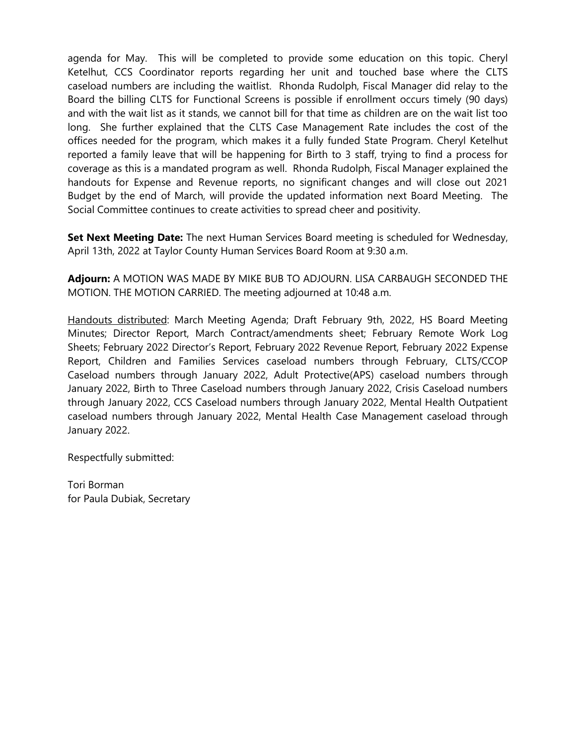agenda for May. This will be completed to provide some education on this topic. Cheryl Ketelhut, CCS Coordinator reports regarding her unit and touched base where the CLTS caseload numbers are including the waitlist. Rhonda Rudolph, Fiscal Manager did relay to the Board the billing CLTS for Functional Screens is possible if enrollment occurs timely (90 days) and with the wait list as it stands, we cannot bill for that time as children are on the wait list too long. She further explained that the CLTS Case Management Rate includes the cost of the offices needed for the program, which makes it a fully funded State Program. Cheryl Ketelhut reported a family leave that will be happening for Birth to 3 staff, trying to find a process for coverage as this is a mandated program as well. Rhonda Rudolph, Fiscal Manager explained the handouts for Expense and Revenue reports, no significant changes and will close out 2021 Budget by the end of March, will provide the updated information next Board Meeting. The Social Committee continues to create activities to spread cheer and positivity.

**Set Next Meeting Date:** The next Human Services Board meeting is scheduled for Wednesday, April 13th, 2022 at Taylor County Human Services Board Room at 9:30 a.m.

**Adjourn:** A MOTION WAS MADE BY MIKE BUB TO ADJOURN. LISA CARBAUGH SECONDED THE MOTION. THE MOTION CARRIED. The meeting adjourned at 10:48 a.m.

Handouts distributed: March Meeting Agenda; Draft February 9th, 2022, HS Board Meeting Minutes; Director Report, March Contract/amendments sheet; February Remote Work Log Sheets; February 2022 Director's Report, February 2022 Revenue Report, February 2022 Expense Report, Children and Families Services caseload numbers through February, CLTS/CCOP Caseload numbers through January 2022, Adult Protective(APS) caseload numbers through January 2022, Birth to Three Caseload numbers through January 2022, Crisis Caseload numbers through January 2022, CCS Caseload numbers through January 2022, Mental Health Outpatient caseload numbers through January 2022, Mental Health Case Management caseload through January 2022.

Respectfully submitted: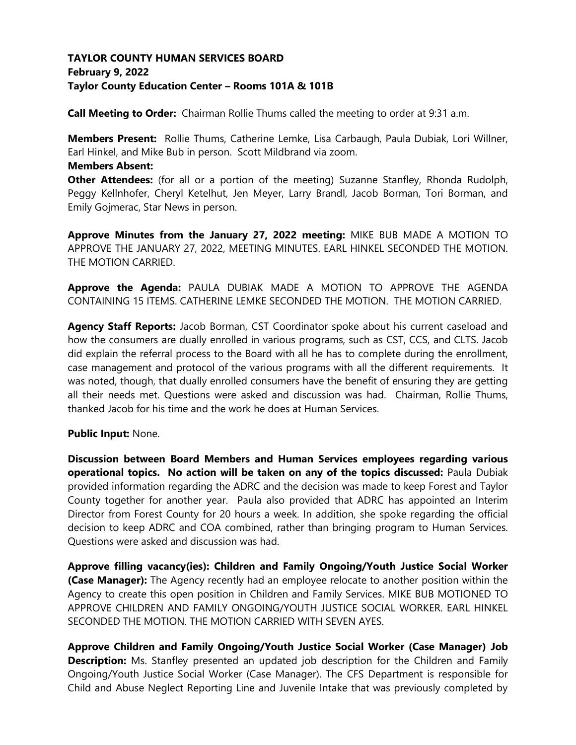# **TAYLOR COUNTY HUMAN SERVICES BOARD February 9, 2022 Taylor County Education Center – Rooms 101A & 101B**

**Call Meeting to Order:** Chairman Rollie Thums called the meeting to order at 9:31 a.m.

**Members Present:** Rollie Thums, Catherine Lemke, Lisa Carbaugh, Paula Dubiak, Lori Willner, Earl Hinkel, and Mike Bub in person. Scott Mildbrand via zoom.

### **Members Absent:**

**Other Attendees:** (for all or a portion of the meeting) Suzanne Stanfley, Rhonda Rudolph, Peggy Kellnhofer, Cheryl Ketelhut, Jen Meyer, Larry Brandl, Jacob Borman, Tori Borman, and Emily Gojmerac, Star News in person.

**Approve Minutes from the January 27, 2022 meeting:** MIKE BUB MADE A MOTION TO APPROVE THE JANUARY 27, 2022, MEETING MINUTES. EARL HINKEL SECONDED THE MOTION. THE MOTION CARRIED.

**Approve the Agenda:** PAULA DUBIAK MADE A MOTION TO APPROVE THE AGENDA CONTAINING 15 ITEMS. CATHERINE LEMKE SECONDED THE MOTION. THE MOTION CARRIED.

**Agency Staff Reports:** Jacob Borman, CST Coordinator spoke about his current caseload and how the consumers are dually enrolled in various programs, such as CST, CCS, and CLTS. Jacob did explain the referral process to the Board with all he has to complete during the enrollment, case management and protocol of the various programs with all the different requirements. It was noted, though, that dually enrolled consumers have the benefit of ensuring they are getting all their needs met. Questions were asked and discussion was had. Chairman, Rollie Thums, thanked Jacob for his time and the work he does at Human Services.

### **Public Input:** None.

**Discussion between Board Members and Human Services employees regarding various operational topics. No action will be taken on any of the topics discussed:** Paula Dubiak provided information regarding the ADRC and the decision was made to keep Forest and Taylor County together for another year. Paula also provided that ADRC has appointed an Interim Director from Forest County for 20 hours a week. In addition, she spoke regarding the official decision to keep ADRC and COA combined, rather than bringing program to Human Services. Questions were asked and discussion was had.

**Approve filling vacancy(ies): Children and Family Ongoing/Youth Justice Social Worker (Case Manager):** The Agency recently had an employee relocate to another position within the Agency to create this open position in Children and Family Services. MIKE BUB MOTIONED TO APPROVE CHILDREN AND FAMILY ONGOING/YOUTH JUSTICE SOCIAL WORKER. EARL HINKEL SECONDED THE MOTION. THE MOTION CARRIED WITH SEVEN AYES.

**Approve Children and Family Ongoing/Youth Justice Social Worker (Case Manager) Job Description:** Ms. Stanfley presented an updated job description for the Children and Family Ongoing/Youth Justice Social Worker (Case Manager). The CFS Department is responsible for Child and Abuse Neglect Reporting Line and Juvenile Intake that was previously completed by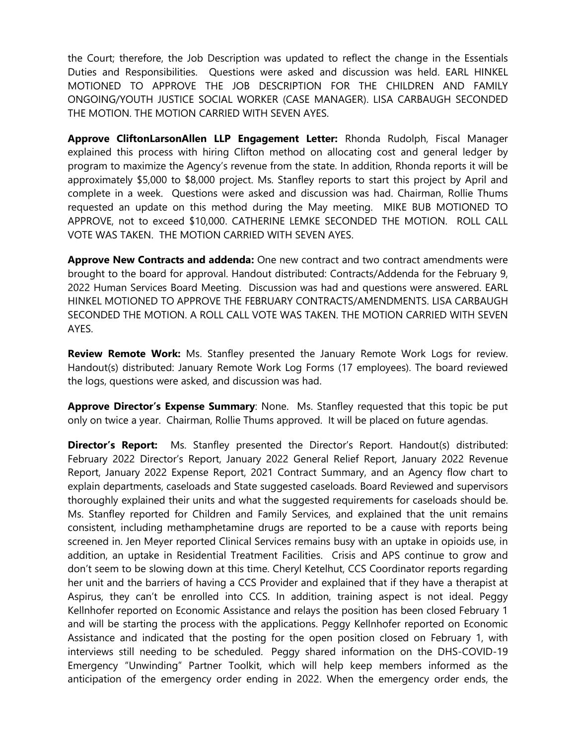the Court; therefore, the Job Description was updated to reflect the change in the Essentials Duties and Responsibilities. Questions were asked and discussion was held. EARL HINKEL MOTIONED TO APPROVE THE JOB DESCRIPTION FOR THE CHILDREN AND FAMILY ONGOING/YOUTH JUSTICE SOCIAL WORKER (CASE MANAGER). LISA CARBAUGH SECONDED THE MOTION. THE MOTION CARRIED WITH SEVEN AYES.

**Approve CliftonLarsonAllen LLP Engagement Letter:** Rhonda Rudolph, Fiscal Manager explained this process with hiring Clifton method on allocating cost and general ledger by program to maximize the Agency's revenue from the state. In addition, Rhonda reports it will be approximately \$5,000 to \$8,000 project. Ms. Stanfley reports to start this project by April and complete in a week. Questions were asked and discussion was had. Chairman, Rollie Thums requested an update on this method during the May meeting. MIKE BUB MOTIONED TO APPROVE, not to exceed \$10,000. CATHERINE LEMKE SECONDED THE MOTION. ROLL CALL VOTE WAS TAKEN. THE MOTION CARRIED WITH SEVEN AYES.

**Approve New Contracts and addenda:** One new contract and two contract amendments were brought to the board for approval. Handout distributed: Contracts/Addenda for the February 9, 2022 Human Services Board Meeting. Discussion was had and questions were answered. EARL HINKEL MOTIONED TO APPROVE THE FEBRUARY CONTRACTS/AMENDMENTS. LISA CARBAUGH SECONDED THE MOTION. A ROLL CALL VOTE WAS TAKEN. THE MOTION CARRIED WITH SEVEN AYES.

**Review Remote Work:** Ms. Stanfley presented the January Remote Work Logs for review. Handout(s) distributed: January Remote Work Log Forms (17 employees). The board reviewed the logs, questions were asked, and discussion was had.

**Approve Director's Expense Summary**: None. Ms. Stanfley requested that this topic be put only on twice a year. Chairman, Rollie Thums approved. It will be placed on future agendas.

**Director's Report:** Ms. Stanfley presented the Director's Report. Handout(s) distributed: February 2022 Director's Report, January 2022 General Relief Report, January 2022 Revenue Report, January 2022 Expense Report, 2021 Contract Summary, and an Agency flow chart to explain departments, caseloads and State suggested caseloads. Board Reviewed and supervisors thoroughly explained their units and what the suggested requirements for caseloads should be. Ms. Stanfley reported for Children and Family Services, and explained that the unit remains consistent, including methamphetamine drugs are reported to be a cause with reports being screened in. Jen Meyer reported Clinical Services remains busy with an uptake in opioids use, in addition, an uptake in Residential Treatment Facilities. Crisis and APS continue to grow and don't seem to be slowing down at this time. Cheryl Ketelhut, CCS Coordinator reports regarding her unit and the barriers of having a CCS Provider and explained that if they have a therapist at Aspirus, they can't be enrolled into CCS. In addition, training aspect is not ideal. Peggy Kellnhofer reported on Economic Assistance and relays the position has been closed February 1 and will be starting the process with the applications. Peggy Kellnhofer reported on Economic Assistance and indicated that the posting for the open position closed on February 1, with interviews still needing to be scheduled. Peggy shared information on the DHS-COVID-19 Emergency "Unwinding" Partner Toolkit, which will help keep members informed as the anticipation of the emergency order ending in 2022. When the emergency order ends, the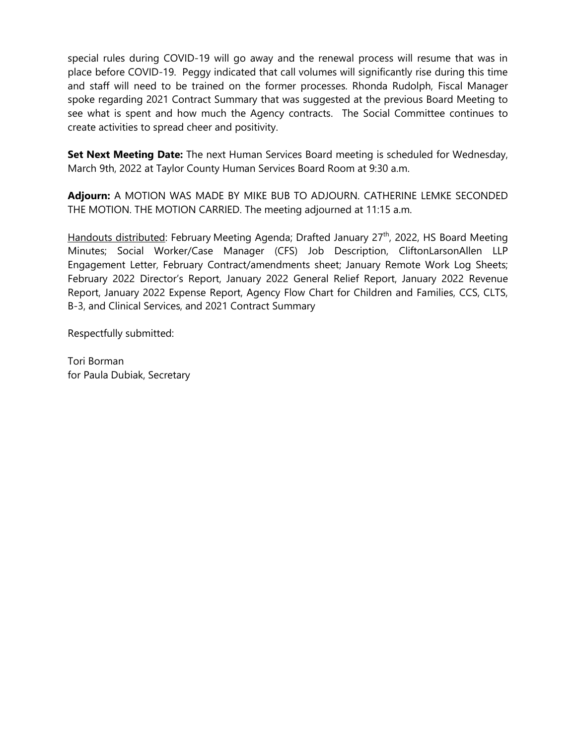special rules during COVID-19 will go away and the renewal process will resume that was in place before COVID-19. Peggy indicated that call volumes will significantly rise during this time and staff will need to be trained on the former processes. Rhonda Rudolph, Fiscal Manager spoke regarding 2021 Contract Summary that was suggested at the previous Board Meeting to see what is spent and how much the Agency contracts. The Social Committee continues to create activities to spread cheer and positivity.

**Set Next Meeting Date:** The next Human Services Board meeting is scheduled for Wednesday, March 9th, 2022 at Taylor County Human Services Board Room at 9:30 a.m.

**Adjourn:** A MOTION WAS MADE BY MIKE BUB TO ADJOURN. CATHERINE LEMKE SECONDED THE MOTION. THE MOTION CARRIED. The meeting adjourned at 11:15 a.m.

Handouts distributed: February Meeting Agenda; Drafted January 27<sup>th</sup>, 2022, HS Board Meeting Minutes; Social Worker/Case Manager (CFS) Job Description, CliftonLarsonAllen LLP Engagement Letter, February Contract/amendments sheet; January Remote Work Log Sheets; February 2022 Director's Report, January 2022 General Relief Report, January 2022 Revenue Report, January 2022 Expense Report, Agency Flow Chart for Children and Families, CCS, CLTS, B-3, and Clinical Services, and 2021 Contract Summary

Respectfully submitted: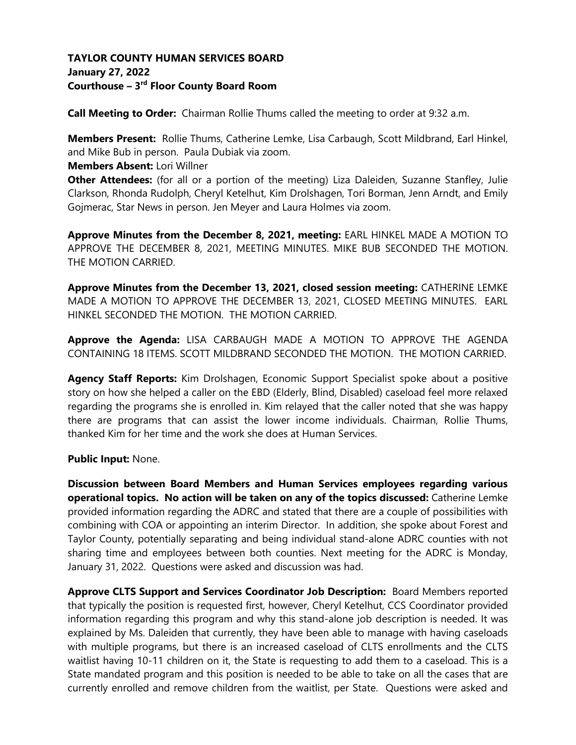# **TAYLOR COUNTY HUMAN SERVICES BOARD January 27, 2022 Courthouse – 3 rd Floor County Board Room**

**Call Meeting to Order:** Chairman Rollie Thums called the meeting to order at 9:32 a.m.

**Members Present:** Rollie Thums, Catherine Lemke, Lisa Carbaugh, Scott Mildbrand, Earl Hinkel, and Mike Bub in person. Paula Dubiak via zoom.

**Members Absent:** Lori Willner

**Other Attendees:** (for all or a portion of the meeting) Liza Daleiden, Suzanne Stanfley, Julie Clarkson, Rhonda Rudolph, Cheryl Ketelhut, Kim Drolshagen, Tori Borman, Jenn Arndt, and Emily Gojmerac, Star News in person. Jen Meyer and Laura Holmes via zoom.

**Approve Minutes from the December 8, 2021, meeting:** EARL HINKEL MADE A MOTION TO APPROVE THE DECEMBER 8, 2021, MEETING MINUTES. MIKE BUB SECONDED THE MOTION. THE MOTION CARRIED.

**Approve Minutes from the December 13, 2021, closed session meeting:** CATHERINE LEMKE MADE A MOTION TO APPROVE THE DECEMBER 13, 2021, CLOSED MEETING MINUTES. EARL HINKEL SECONDED THE MOTION. THE MOTION CARRIED.

**Approve the Agenda:** LISA CARBAUGH MADE A MOTION TO APPROVE THE AGENDA CONTAINING 18 ITEMS. SCOTT MILDBRAND SECONDED THE MOTION. THE MOTION CARRIED.

**Agency Staff Reports:** Kim Drolshagen, Economic Support Specialist spoke about a positive story on how she helped a caller on the EBD (Elderly, Blind, Disabled) caseload feel more relaxed regarding the programs she is enrolled in. Kim relayed that the caller noted that she was happy there are programs that can assist the lower income individuals. Chairman, Rollie Thums, thanked Kim for her time and the work she does at Human Services.

### **Public Input:** None.

**Discussion between Board Members and Human Services employees regarding various operational topics. No action will be taken on any of the topics discussed:** Catherine Lemke provided information regarding the ADRC and stated that there are a couple of possibilities with combining with COA or appointing an interim Director. In addition, she spoke about Forest and Taylor County, potentially separating and being individual stand-alone ADRC counties with not sharing time and employees between both counties. Next meeting for the ADRC is Monday, January 31, 2022. Questions were asked and discussion was had.

**Approve CLTS Support and Services Coordinator Job Description:** Board Members reported that typically the position is requested first, however, Cheryl Ketelhut, CCS Coordinator provided information regarding this program and why this stand-alone job description is needed. It was explained by Ms. Daleiden that currently, they have been able to manage with having caseloads with multiple programs, but there is an increased caseload of CLTS enrollments and the CLTS waitlist having 10-11 children on it, the State is requesting to add them to a caseload. This is a State mandated program and this position is needed to be able to take on all the cases that are currently enrolled and remove children from the waitlist, per State. Questions were asked and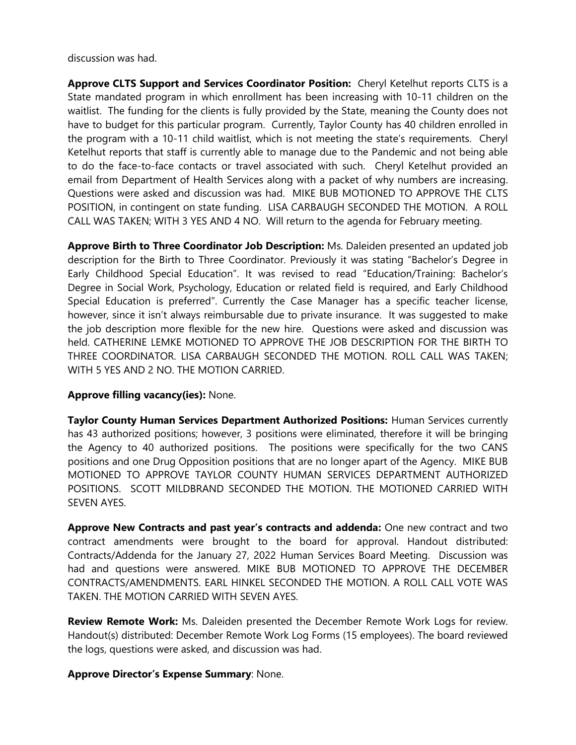discussion was had.

**Approve CLTS Support and Services Coordinator Position:** Cheryl Ketelhut reports CLTS is a State mandated program in which enrollment has been increasing with 10-11 children on the waitlist. The funding for the clients is fully provided by the State, meaning the County does not have to budget for this particular program. Currently, Taylor County has 40 children enrolled in the program with a 10-11 child waitlist, which is not meeting the state's requirements. Cheryl Ketelhut reports that staff is currently able to manage due to the Pandemic and not being able to do the face-to-face contacts or travel associated with such. Cheryl Ketelhut provided an email from Department of Health Services along with a packet of why numbers are increasing. Questions were asked and discussion was had. MIKE BUB MOTIONED TO APPROVE THE CLTS POSITION, in contingent on state funding. LISA CARBAUGH SECONDED THE MOTION. A ROLL CALL WAS TAKEN; WITH 3 YES AND 4 NO. Will return to the agenda for February meeting.

**Approve Birth to Three Coordinator Job Description:** Ms. Daleiden presented an updated job description for the Birth to Three Coordinator. Previously it was stating "Bachelor's Degree in Early Childhood Special Education". It was revised to read "Education/Training: Bachelor's Degree in Social Work, Psychology, Education or related field is required, and Early Childhood Special Education is preferred". Currently the Case Manager has a specific teacher license, however, since it isn't always reimbursable due to private insurance. It was suggested to make the job description more flexible for the new hire. Questions were asked and discussion was held. CATHERINE LEMKE MOTIONED TO APPROVE THE JOB DESCRIPTION FOR THE BIRTH TO THREE COORDINATOR. LISA CARBAUGH SECONDED THE MOTION. ROLL CALL WAS TAKEN; WITH 5 YES AND 2 NO. THE MOTION CARRIED.

### **Approve filling vacancy(ies):** None.

**Taylor County Human Services Department Authorized Positions:** Human Services currently has 43 authorized positions; however, 3 positions were eliminated, therefore it will be bringing the Agency to 40 authorized positions. The positions were specifically for the two CANS positions and one Drug Opposition positions that are no longer apart of the Agency. MIKE BUB MOTIONED TO APPROVE TAYLOR COUNTY HUMAN SERVICES DEPARTMENT AUTHORIZED POSITIONS. SCOTT MILDBRAND SECONDED THE MOTION. THE MOTIONED CARRIED WITH SEVEN AYES.

**Approve New Contracts and past year's contracts and addenda:** One new contract and two contract amendments were brought to the board for approval. Handout distributed: Contracts/Addenda for the January 27, 2022 Human Services Board Meeting. Discussion was had and questions were answered. MIKE BUB MOTIONED TO APPROVE THE DECEMBER CONTRACTS/AMENDMENTS. EARL HINKEL SECONDED THE MOTION. A ROLL CALL VOTE WAS TAKEN. THE MOTION CARRIED WITH SEVEN AYES.

**Review Remote Work:** Ms. Daleiden presented the December Remote Work Logs for review. Handout(s) distributed: December Remote Work Log Forms (15 employees). The board reviewed the logs, questions were asked, and discussion was had.

**Approve Director's Expense Summary**: None.